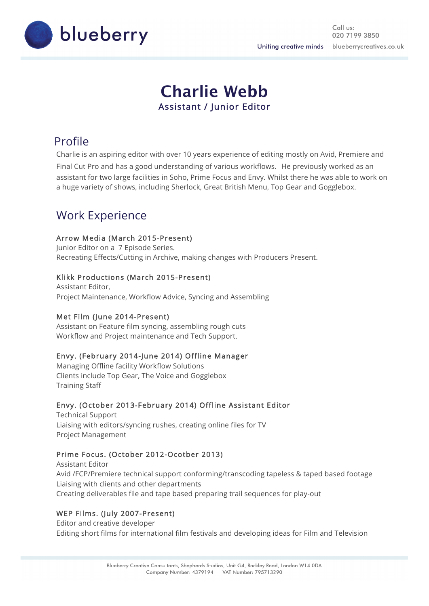

# **Charlie Webb** Assistant / Junior Editor

## Profile

Charlie is an aspiring editor with over 10 years experience of editing mostly on Avid, Premiere and Final Cut Pro and has a good understanding of various workflows. He previously worked as an assistant for two large facilities in Soho, Prime Focus and Envy. Whilst there he was able to work on a huge variety of shows, including Sherlock, Great British Menu, Top Gear and Gogglebox.

## Work Experience

### Arrow Media (March 2015-Present)

Junior Editor on a 7 Episode Series. Recreating Effects/Cutting in Archive, making changes with Producers Present.

### Klikk Productions (March 2015-Present)

Assistant Editor, Project Maintenance, Workflow Advice, Syncing and Assembling

### Met Film (June 2014-Present)

Assistant on Feature film syncing, assembling rough cuts Workflow and Project maintenance and Tech Support.

### Envy. (February 2014-June 2014) Offline Manager

Managing Offline facility Workflow Solutions Clients include Top Gear, The Voice and Gogglebox Training Staff

### Envy. (October 2013-February 2014) Offline Assistant Editor

Technical Support Liaising with editors/syncing rushes, creating online files for TV Project Management

### Prime Focus. (October 2012-Ocotber 2013)

Assistant Editor Avid /FCP/Premiere technical support conforming/transcoding tapeless & taped based footage Liaising with clients and other departments Creating deliverables file and tape based preparing trail sequences for play-out

### WEP Films. (July 2007-Present)

Editor and creative developer Editing short films for international film festivals and developing ideas for Film and Television